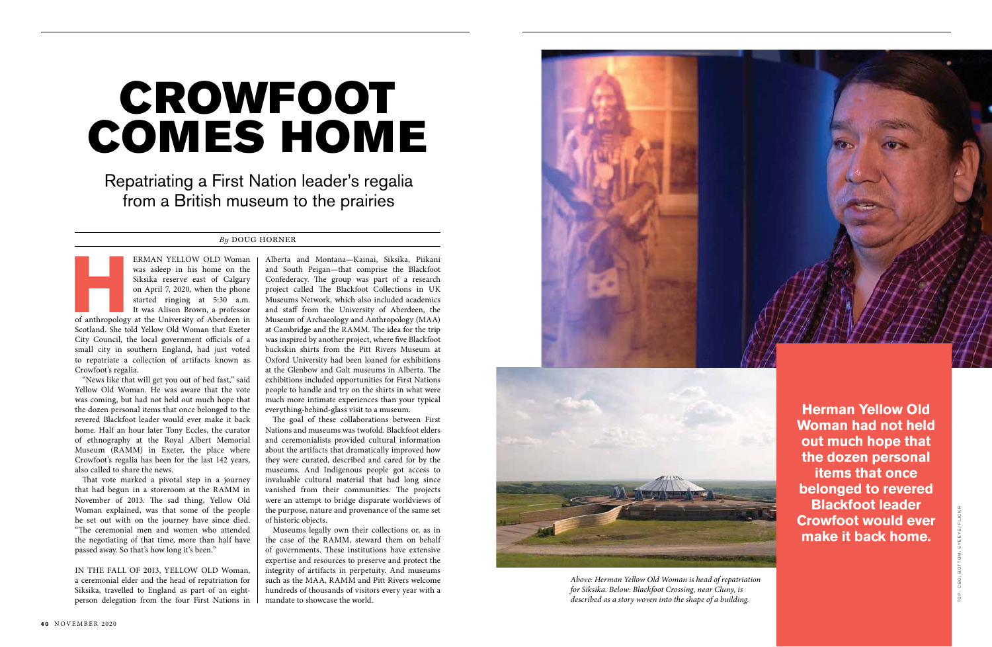ERMAN YELLOW OLD Woman<br>was asleep in his home on the<br>Siksika reserve east of Calgary<br>on April 7, 2020, when the phone<br>started ringing at 5:30 a.m.<br>It was Alison Brown, a professor<br>of anthropology at the University of Aberd was asleep in his home on the Siksika reserve east of Calgary on April 7, 2020, when the phone started ringing at 5:30 a.m. It was Alison Brown, a professor

Scotland. She told Yellow Old Woman that Exeter City Council, the local government officials of a small city in southern England, had just voted to repatriate a collection of artifacts known as Crowfoot's regalia.

"News like that will get you out of bed fast," said Yellow Old Woman. He was aware that the vote was coming, but had not held out much hope that the dozen personal items that once belonged to the revered Blackfoot leader would ever make it back home. Half an hour later Tony Eccles, the curator of ethnography at the Royal Albert Memorial Museum (RAMM) in Exeter, the place where Crowfoot's regalia has been for the last 142 years, also called to share the news.

That vote marked a pivotal step in a journey that had begun in a storeroom at the RAMM in November of 2013. The sad thing, Yellow Old Woman explained, was that some of the people he set out with on the journey have since died. "The ceremonial men and women who attended the negotiating of that time, more than half have passed away. So that's how long it's been."

IN THE FALL OF 2013, YELLOW OLD Woman, a ceremonial elder and the head of repatriation for Siksika, travelled to England as part of an eightperson delegation from the four First Nations in

Repatriating a First Nation leader's regalia from a British museum to the prairies

## CROWFOOT COMES HOME

## *By* DOUG HORNER

**Herman Yellow Old Woman had not held out much hope that the dozen personal items that once belonged to revered Blackfoot leader Crowfoot would ever make it back home.**



*Above: Herman Yellow Old Woman is head of repatriation for Siksika. Below: Blackfoot Crossing, near Cluny, is described as a story woven into the shape of a building.* 

Alberta and Montana—Kainai, Siksika, Piikani and South Peigan—that comprise the Blackfoot Confederacy. The group was part of a research project called The Blackfoot Collections in UK Museums Network, which also included academics and staff from the University of Aberdeen, the Museum of Archaeology and Anthropology (MAA) at Cambridge and the RAMM. The idea for the trip was inspired by another project, where five Blackfoot buckskin shirts from the Pitt Rivers Museum at Oxford University had been loaned for exhibitions at the Glenbow and Galt museums in Alberta. The exhibitions included opportunities for First Nations people to handle and try on the shirts in what were much more intimate experiences than your typical everything-behind-glass visit to a museum.

The goal of these collaborations between First Nations and museums was twofold. Blackfoot elders and ceremonialists provided cultural information about the artifacts that dramatically improved how they were curated, described and cared for by the museums. And Indigenous people got access to invaluable cultural material that had long since vanished from their communities. The projects were an attempt to bridge disparate worldviews of the purpose, nature and provenance of the same set of historic objects.

Museums legally own their collections or, as in the case of the RAMM, steward them on behalf of governments. These institutions have extensive expertise and resources to preserve and protect the integrity of artifacts in perpetuity. And museums such as the MAA, RAMM and Pitt Rivers welcome hundreds of thousands of visitors every year with a mandate to showcase the world.

T O P : C B C ; B O T T O M : E Y E E Y E / F L I C K R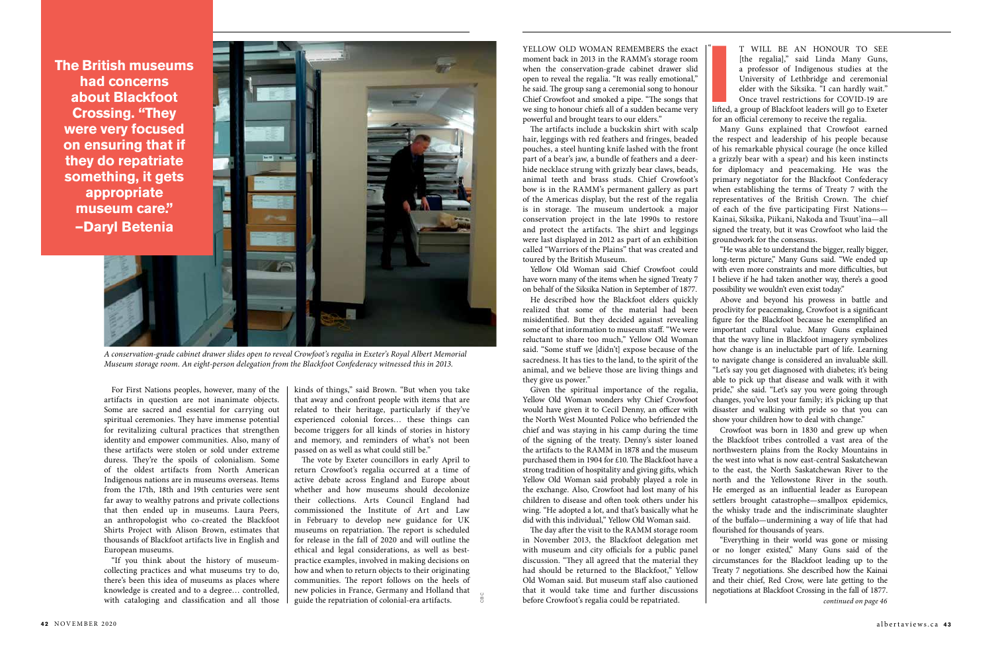For First Nations peoples, however, many of the artifacts in question are not inanimate objects. Some are sacred and essential for carrying out spiritual ceremonies. They have immense potential for revitalizing cultural practices that strengthen identity and empower communities. Also, many of these artifacts were stolen or sold under extreme duress. They're the spoils of colonialism. Some of the oldest artifacts from North American Indigenous nations are in museums overseas. Items from the 17th, 18th and 19th centuries were sent far away to wealthy patrons and private collections that then ended up in museums. Laura Peers, an anthropologist who co-created the Blackfoot Shirts Project with Alison Brown, estimates that thousands of Blackfoot artifacts live in English and European museums.

"If you think about the history of museumcollecting practices and what museums try to do, there's been this idea of museums as places where knowledge is created and to a degree… controlled, with cataloging and classification and all those YELLOW OLD WOMAN REMEMBERS the exact moment back in 2013 in the RAMM's storage room when the conservation-grade cabinet drawer slid open to reveal the regalia. "It was really emotional," he said. The group sang a ceremonial song to honour Chief Crowfoot and smoked a pipe. "The songs that we sing to honour chiefs all of a sudden became very powerful and brought tears to our elders."

The artifacts include a buckskin shirt with scalp hair, leggings with red feathers and fringes, beaded pouches, a steel hunting knife lashed with the front part of a bear's jaw, a bundle of feathers and a deerhide necklace strung with grizzly bear claws, beads, animal teeth and brass studs. Chief Crowfoot's bow is in the RAMM's permanent gallery as part of the Americas display, but the rest of the regalia is in storage. The museum undertook a major conservation project in the late 1990s to restore and protect the artifacts. The shirt and leggings were last displayed in 2012 as part of an exhibition called "Warriors of the Plains" that was created and toured by the British Museum.

Yellow Old Woman said Chief Crowfoot could have worn many of the items when he signed Treaty 7 on behalf of the Siksika Nation in September of 1877.

He described how the Blackfoot elders quickly realized that some of the material had been misidentified. But they decided against revealing some of that information to museum staff. "We were reluctant to share too much," Yellow Old Woman said. "Some stuff we [didn't] expose because of the sacredness. It has ties to the land, to the spirit of the animal, and we believe those are living things and they give us power."

Given the spiritual importance of the regalia, Yellow Old Woman wonders why Chief Crowfoot would have given it to Cecil Denny, an officer with the North West Mounted Police who befriended the chief and was staying in his camp during the time of the signing of the treaty. Denny's sister loaned the artifacts to the RAMM in 1878 and the museum purchased them in 1904 for £10. The Blackfoot have a strong tradition of hospitality and giving gifts, which Yellow Old Woman said probably played a role in the exchange. Also, Crowfoot had lost many of his children to disease and often took others under his wing. "He adopted a lot, and that's basically what he did with this individual," Yellow Old Woman said.

The day after the visit to the RAMM storage room in November 2013, the Blackfoot delegation met with museum and city officials for a public panel discussion. "They all agreed that the material they had should be returned to the Blackfoot," Yellow Old Woman said. But museum staff also cautioned that it would take time and further discussions before Crowfoot's regalia could be repatriated.

 $\mathfrak{c}$ 

kinds of things," said Brown. "But when you take that away and confront people with items that are related to their heritage, particularly if they've experienced colonial forces… these things can become triggers for all kinds of stories in history and memory, and reminders of what's not been passed on as well as what could still be."

The vote by Exeter councillors in early April to return Crowfoot's regalia occurred at a time of active debate across England and Europe about whether and how museums should decolonize their collections. Arts Council England had commissioned the Institute of Art and Law in February to develop new guidance for UK museums on repatriation. The report is scheduled for release in the fall of 2020 and will outline the ethical and legal considerations, as well as bestpractice examples, involved in making decisions on how and when to return objects to their originating communities. The report follows on the heels of new policies in France, Germany and Holland that guide the repatriation of colonial-era artifacts.

**I** T WILL BE AN HONOUR TO SEE [the regalia]," said Linda Many Guns, a professor of Indigenous studies at the University of Lethbridge and ceremonial elder with the Siksika. "I can hardly wait." Once travel restrictions for COVID-19 are lifted, a group of Blackfoot leaders will go to Exeter for an official ceremony to receive the regalia.

Many Guns explained that Crowfoot earned the respect and leadership of his people because of his remarkable physical courage (he once killed a grizzly bear with a spear) and his keen instincts for diplomacy and peacemaking. He was the primary negotiator for the Blackfoot Confederacy when establishing the terms of Treaty 7 with the representatives of the British Crown. The chief of each of the five participating First Nations— Kainai, Siksika, Piikani, Nakoda and Tsuut'ina—all signed the treaty, but it was Crowfoot who laid the groundwork for the consensus.

"He was able to understand the bigger, really bigger, long-term picture," Many Guns said. "We ended up with even more constraints and more difficulties, but I believe if he had taken another way, there's a good possibility we wouldn't even exist today."

Above and beyond his prowess in battle and proclivity for peacemaking, Crowfoot is a significant figure for the Blackfoot because he exemplified an important cultural value. Many Guns explained that the wavy line in Blackfoot imagery symbolizes how change is an ineluctable part of life. Learning to navigate change is considered an invaluable skill. "Let's say you get diagnosed with diabetes; it's being able to pick up that disease and walk with it with pride," she said. "Let's say you were going through changes, you've lost your family; it's picking up that disaster and walking with pride so that you can show your children how to deal with change."

Crowfoot was born in 1830 and grew up when the Blackfoot tribes controlled a vast area of the northwestern plains from the Rocky Mountains in the west into what is now east-central Saskatchewan to the east, the North Saskatchewan River to the north and the Yellowstone River in the south. He emerged as an influential leader as European settlers brought catastrophe—smallpox epidemics, the whisky trade and the indiscriminate slaughter of the buffalo—undermining a way of life that had flourished for thousands of years.

"Everything in their world was gone or missing or no longer existed," Many Guns said of the circumstances for the Blackfoot leading up to the Treaty 7 negotiations. She described how the Kainai and their chief, Red Crow, were late getting to the negotiations at Blackfoot Crossing in the fall of 1877. *continued on page 46* 



*A conservation-grade cabinet drawer slides open to reveal Crowfoot's regalia in Exeter's Royal Albert Memorial Museum storage room. An eight-person delegation from the Blackfoot Confederacy witnessed this in 2013.*

**The British museums had concerns about Blackfoot Crossing. "They were very focused on ensuring that if they do repatriate something, it gets appropriate museum care." —Daryl Betenia**

CBC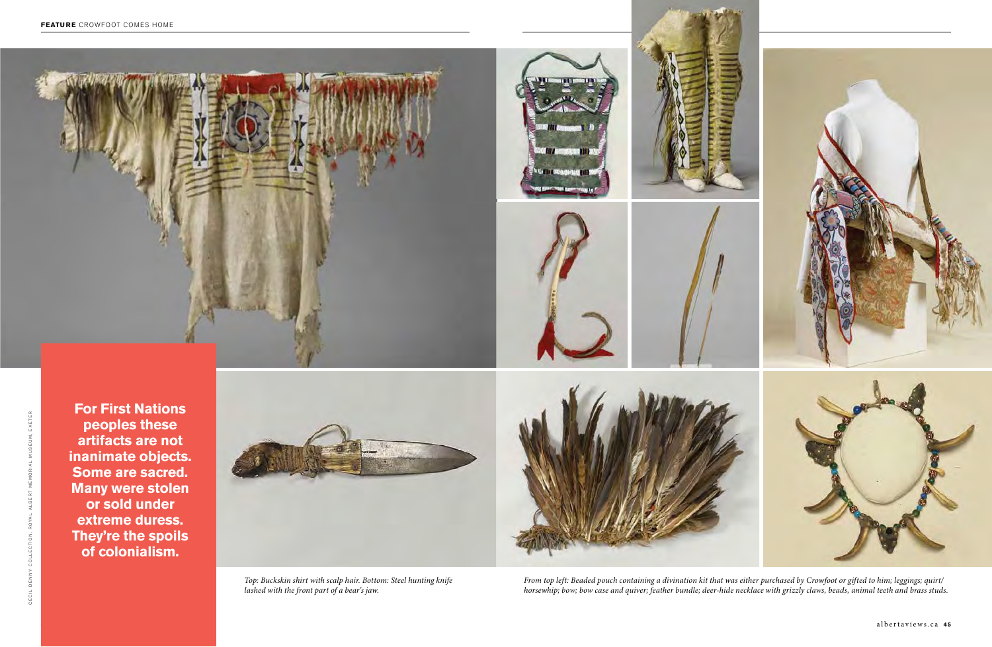





*Top: Buckskin shirt with scalp hair. Bottom: Steel hunting knife lashed with the front part of a bear's jaw.*

**For First Nations peoples these artifacts are not inanimate objects. Some are sacred. Many were stolen or sold under extreme duress. They're the spoils of colonialism.**





*From top left: Beaded pouch containing a divination kit that was either purchased by Crowfoot or gifted to him; leggings; quirt/ horsewhip; bow; bow case and quiver; feather bundle; deer-hide necklace with grizzly claws, beads, animal teeth and brass studs.*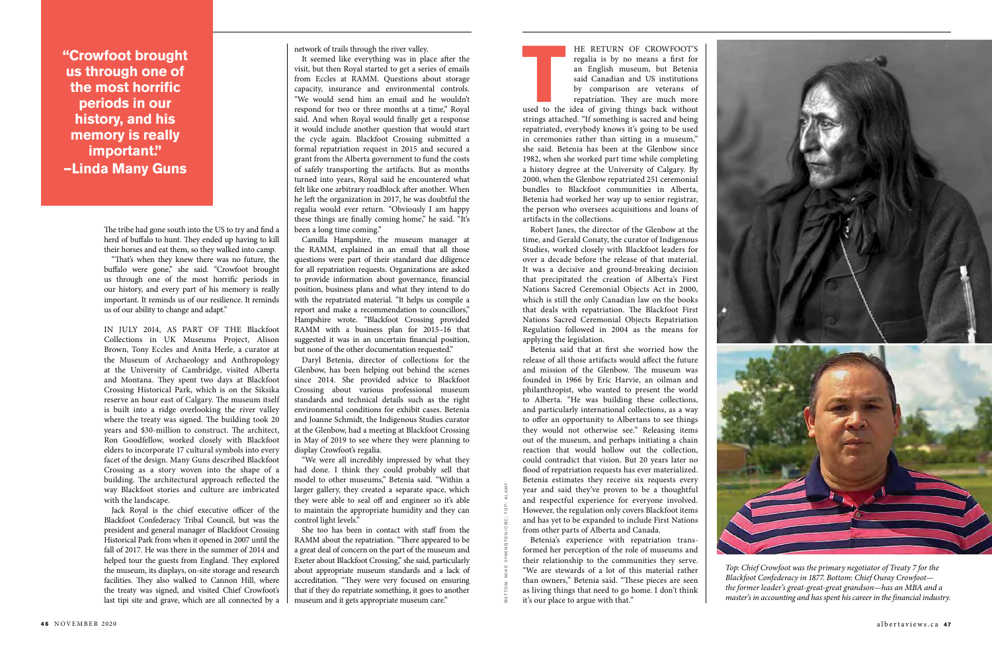**THE RETURN OF CROWFOOT'S**<br>
regalia is by no means a first for<br>
an English museum, but Betenia<br>
said Canadian and US institutions<br>
by comparison are veterans of<br>
repatriation. They are much more<br>
used to the idea of giving regalia is by no means a first for an English museum, but Betenia said Canadian and US institutions by comparison are veterans of repatriation. They are much more

strings attached. "If something is sacred and being repatriated, everybody knows it's going to be used in ceremonies rather than sitting in a museum," she said. Betenia has been at the Glenbow since 1982, when she worked part time while completing a history degree at the University of Calgary. By 2000, when the Glenbow repatriated 251 ceremonial bundles to Blackfoot communities in Alberta, Betenia had worked her way up to senior registrar, the person who oversees acquisitions and loans of artifacts in the collections.

Robert Janes, the director of the Glenbow at the time, and Gerald Conaty, the curator of Indigenous Studies, worked closely with Blackfoot leaders for over a decade before the release of that material. It was a decisive and ground-breaking decision that precipitated the creation of Alberta's First Nations Sacred Ceremonial Objects Act in 2000, which is still the only Canadian law on the books that deals with repatriation. The Blackfoot First Nations Sacred Ceremonial Objects Repatriation Regulation followed in 2004 as the means for applying the legislation.

Betenia said that at first she worried how the release of all those artifacts would affect the future and mission of the Glenbow. The museum was founded in 1966 by Eric Harvie, an oilman and philanthropist, who wanted to present the world to Alberta. "He was building these collections, and particularly international collections, as a way to offer an opportunity to Albertans to see things they would not otherwise see." Releasing items out of the museum, and perhaps initiating a chain reaction that would hollow out the collection, could contradict that vision. But 20 years later no flood of repatriation requests has ever materialized. Betenia estimates they receive six requests every year and said they've proven to be a thoughtful and respectful experience for everyone involved. However, the regulation only covers Blackfoot items and has yet to be expanded to include First Nations from other parts of Alberta and Canada.

Betenia's experience with repatriation transformed her perception of the role of museums and their relationship to the communities they serve. "We are stewards of a lot of this material rather than owners," Betenia said. "These pieces are seen as living things that need to go home. I don't think it's our place to argue with that."

**"Crowfoot brought us through one of the most horrific periods in our history, and his memory is really important." —Linda Many Guns**

> The tribe had gone south into the US to try and find a herd of buffalo to hunt. They ended up having to kill their horses and eat them, so they walked into camp.

> "That's when they knew there was no future, the buffalo were gone," she said. "Crowfoot brought us through one of the most horrific periods in our history, and every part of his memory is really important. It reminds us of our resilience. It reminds us of our ability to change and adapt."

> IN JULY 2014, AS PART OF THE Blackfoot Collections in UK Museums Project, Alison Brown, Tony Eccles and Anita Herle, a curator at the Museum of Archaeology and Anthropology at the University of Cambridge, visited Alberta and Montana. They spent two days at Blackfoot Crossing Historical Park, which is on the Siksika reserve an hour east of Calgary. The museum itself is built into a ridge overlooking the river valley where the treaty was signed. The building took 20 years and \$30-million to construct. The architect, Ron Goodfellow, worked closely with Blackfoot elders to incorporate 17 cultural symbols into every facet of the design. Many Guns described Blackfoot Crossing as a story woven into the shape of a building. The architectural approach reflected the way Blackfoot stories and culture are imbricated with the landscape.

> Jack Royal is the chief executive officer of the Blackfoot Confederacy Tribal Council, but was the president and general manager of Blackfoot Crossing Historical Park from when it opened in 2007 until the fall of 2017. He was there in the summer of 2014 and helped tour the guests from England. They explored the museum, its displays, on-site storage and research facilities. They also walked to Cannon Hill, where the treaty was signed, and visited Chief Crowfoot's last tipi site and grave, which are all connected by a

network of trails through the river valley.

It seemed like everything was in place after the visit, but then Royal started to get a series of emails from Eccles at RAMM. Questions about storage capacity, insurance and environmental controls. "We would send him an email and he wouldn't respond for two or three months at a time," Royal said. And when Royal would finally get a response it would include another question that would start the cycle again. Blackfoot Crossing submitted a formal repatriation request in 2015 and secured a grant from the Alberta government to fund the costs of safely transporting the artifacts. But as months turned into years, Royal said he encountered what felt like one arbitrary roadblock after another. When he left the organization in 2017, he was doubtful the regalia would ever return. "Obviously I am happy these things are finally coming home," he said. "It's been a long time coming."

Camilla Hampshire, the museum manager at the RAMM, explained in an email that all those questions were part of their standard due diligence for all repatriation requests. Organizations are asked to provide information about governance, financial position, business plans and what they intend to do with the repatriated material. "It helps us compile a report and make a recommendation to councillors," Hampshire wrote. "Blackfoot Crossing provided RAMM with a business plan for 2015–16 that suggested it was in an uncertain financial position, but none of the other documentation requested."

Daryl Betenia, director of collections for the Glenbow, has been helping out behind the scenes since 2014. She provided advice to Blackfoot Crossing about various professional museum standards and technical details such as the right environmental conditions for exhibit cases. Betenia and Joanne Schmidt, the Indigenous Studies curator at the Glenbow, had a meeting at Blackfoot Crossing in May of 2019 to see where they were planning to display Crowfoot's regalia.

"We were all incredibly impressed by what they had done. I think they could probably sell that model to other museums," Betenia said. "Within a larger gallery, they created a separate space, which they were able to seal off and engineer so it's able to maintain the appropriate humidity and they can control light levels."

She too has been in contact with staff from the RAMM about the repatriation. "There appeared to be a great deal of concern on the part of the museum and Exeter about Blackfoot Crossing," she said, particularly about appropriate museum standards and a lack of accreditation. "They were very focused on ensuring that if they do repatriate something, it goes to another museum and it gets appropriate museum care."



*Top: Chief Crowfoot was the primary negotiator of Treaty 7 for the Blackfoot Confederacy in 1877. Bottom: Chief Ouray Crowfoot the former leader's great-great-great grandson—has an MBA and a master's in accounting and has spent his career in the financial industry.*

B O T T O M : M I K E S Y M I N G T O N / C B C ; T O P : A L A M Y